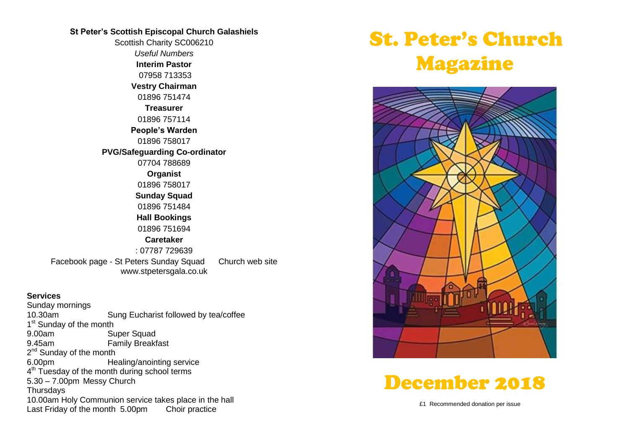## **St Peter's Scottish Episcopal Church Galashiels**

Scottish Charity SC006210 *Useful Numbers*  **Interim Pastor** 07958 713353 **Vestry Chairman** 01896 751474 **Treasurer** 01896 757114 **People's Warden** 01896 758017 **PVG/Safeguarding Co-ordinator** 07704 788689 **Organist** 01896 758017 **Sunday Squad** 01896 751484 **Hall Bookings** 01896 751694 **Caretaker** : 07787 729639 Facebook page - St Peters Sunday Squad Church web site www.stpetersgala.co.uk

#### **Services**

Sunday mornings 10.30am Sung Eucharist followed by tea/coffee 1<sup>st</sup> Sunday of the month 9.00am Super Squad 9.45am Family Breakfast 2<sup>nd</sup> Sunday of the month 6.00pm Healing/anointing service 4<sup>th</sup> Tuesday of the month during school terms 5.30 – 7.00pm Messy Church **Thursdays** 10.00am Holy Communion service takes place in the hall Last Friday of the month 5.00pm Choir practice

# St. Peter's Church Magazine





£1 Recommended donation per issue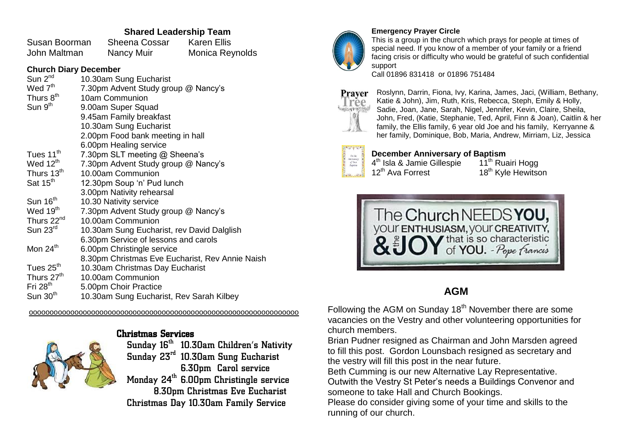## **Shared Leadership Team**

Susan Boorman Sheena Cossar Karen Ellis John Maltman Nancy Muir Monica Reynolds

### **Church Diary December**

| Sun 2 <sup>nd</sup>    | 10.30am Sung Eucharist                          |
|------------------------|-------------------------------------------------|
| Wed 7 <sup>th</sup>    | 7.30pm Advent Study group @ Nancy's             |
| Thurs 8 <sup>th</sup>  | 10am Communion                                  |
| Sum 9 <sup>th</sup>    | 9.00am Super Squad                              |
|                        | 9.45am Family breakfast                         |
|                        | 10.30am Sung Eucharist                          |
|                        | 2.00pm Food bank meeting in hall                |
|                        | 6.00pm Healing service                          |
| Tues 11 <sup>th</sup>  | 7.30pm SLT meeting @ Sheena's                   |
| Wed $12^{\text{th}}$   | 7.30pm Advent Study group @ Nancy's             |
| Thurs 13 <sup>th</sup> | 10.00am Communion                               |
| Sat 15 <sup>th</sup>   | 12.30pm Soup 'n' Pud lunch                      |
|                        | 3.00pm Nativity rehearsal                       |
| Sun 16 <sup>th</sup>   | 10.30 Nativity service                          |
| Wed 19 <sup>th</sup>   | 7.30pm Advent Study group @ Nancy's             |
| Thurs 22 <sup>nd</sup> | 10.00am Communion                               |
| Sun $23^{\text{rd}}$   | 10.30am Sung Eucharist, rev David Dalglish      |
|                        | 6.30pm Service of lessons and carols            |
| Mon $24th$             | 6.00pm Christingle service                      |
|                        | 8.30pm Christmas Eve Eucharist, Rev Annie Naish |
| Tues $25th$            | 10.30am Christmas Day Eucharist                 |
| Thurs 27 <sup>th</sup> | 10.00am Communion                               |
| Fri $28th$             | 5.00pm Choir Practice                           |
| Sun $30th$             | 10.30am Sung Eucharist, Rev Sarah Kilbey        |

ooooooooooooooooooooooooooooooooooooooooooooooooooooooooooooooooo



## Christmas Services

Sunday  $16<sup>th</sup>$  10.30am Children's Nativity Sunday 23rd 10.30am Sung Eucharist 6.30pm Carol service Monday 24<sup>th</sup> 6.00pm Christingle service 8.30pm Christmas Eve Eucharist

Christmas Day 10.30am Family Service



#### **Emergency Prayer Circle**

This is a group in the church which prays for people at times of special need. If you know of a member of your family or a friend facing crisis or difficulty who would be grateful of such confidential support

Call 01896 831418 or 01896 751484



Roslynn, Darrin, Fiona, Ivy, Karina, James, Jaci, (William, Bethany, Katie & John), Jim, Ruth, Kris, Rebecca, Steph, Emily & Holly, Sadie, Joan, Jane, Sarah, Nigel, Jennifer, Kevin, Claire, Sheila, John, Fred, (Katie, Stephanie, Ted, April, Finn & Joan), Caitlin & her family, the Ellis family, 6 year old Joe and his family, Kerryanne & her family, Dominique, Bob, Maria, Andrew, Mirriam, Liz, Jessica

## **December Anniversary of Baptism**<br>4<sup>th</sup> Isla & Jamie Gillespie 11<sup>th</sup> Ruairi Hogg

4<sup>th</sup> Isla & Jamie Gillespie and 11<sup>th</sup> Ruairi Hogg 12<sup>th</sup> Ava Forrest 18<sup>th</sup> Kyle Hewitson



## **AGM**

Following the AGM on Sunday 18<sup>th</sup> November there are some vacancies on the Vestry and other volunteering opportunities for church members.

Brian Pudner resigned as Chairman and John Marsden agreed to fill this post. Gordon Lounsbach resigned as secretary and the vestry will fill this post in the near future.

Beth Cumming is our new Alternative Lay Representative.

Outwith the Vestry St Peter's needs a Buildings Convenor and someone to take Hall and Church Bookings.

Please do consider giving some of your time and skills to the running of our church.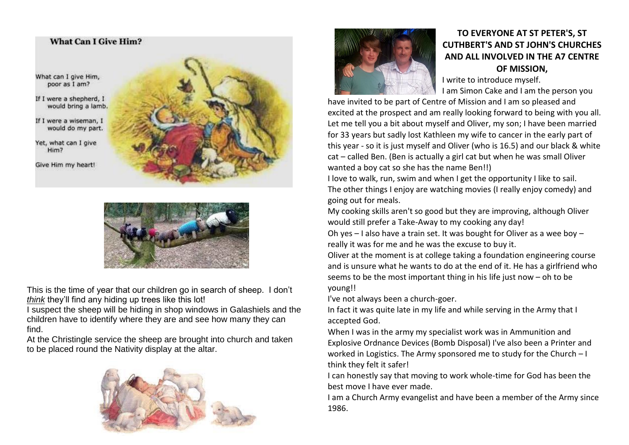## **What Can I Give Him?** What can I give Him, poor as I am? If I were a shepherd, I would bring a lamb. If I were a wiseman, I would do my part. Yet, what can I give Him? Give Him my heart!



This is the time of year that our children go in search of sheep. I don't *think* they'll find any hiding up trees like this lot!

I suspect the sheep will be hiding in shop windows in Galashiels and the children have to identify where they are and see how many they can find.

At the Christingle service the sheep are brought into church and taken to be placed round the Nativity display at the altar.





## **TO EVERYONE AT ST PETER'S, ST CUTHBERT'S AND ST JOHN'S CHURCHES AND ALL INVOLVED IN THE A7 CENTRE OF MISSION,**

I write to introduce myself.

I am Simon Cake and I am the person you

have invited to be part of Centre of Mission and I am so pleased and excited at the prospect and am really looking forward to being with you all. Let me tell you a bit about myself and Oliver, my son; I have been married for 33 years but sadly lost Kathleen my wife to cancer in the early part of this year - so it is just myself and Oliver (who is 16.5) and our black & white cat – called Ben. (Ben is actually a girl cat but when he was small Oliver wanted a boy cat so she has the name Ben!!)

I love to walk, run, swim and when I get the opportunity I like to sail. The other things I enjoy are watching movies (I really enjoy comedy) and going out for meals.

My cooking skills aren't so good but they are improving, although Oliver would still prefer a Take-Away to my cooking any day!

Oh yes – I also have a train set. It was bought for Oliver as a wee boy – really it was for me and he was the excuse to buy it.

Oliver at the moment is at college taking a foundation engineering course and is unsure what he wants to do at the end of it. He has a girlfriend who seems to be the most important thing in his life just now – oh to be young!!

I've not always been a church-goer.

In fact it was quite late in my life and while serving in the Army that I accepted God.

When I was in the army my specialist work was in Ammunition and Explosive Ordnance Devices (Bomb Disposal) I've also been a Printer and worked in Logistics. The Army sponsored me to study for the Church – I think they felt it safer!

I can honestly say that moving to work whole-time for God has been the best move I have ever made.

I am a Church Army evangelist and have been a member of the Army since 1986.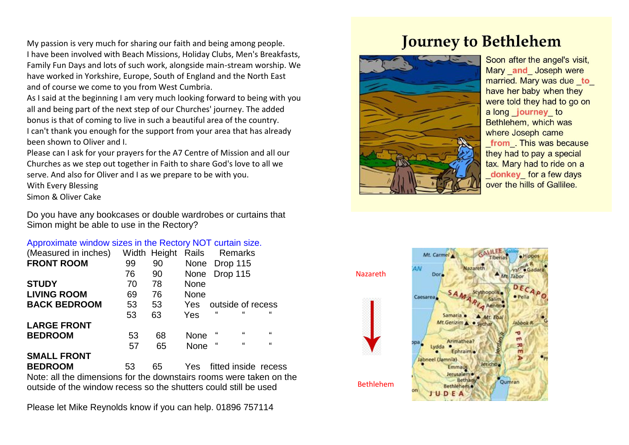My passion is very much for sharing our faith and being among people. I have been involved with Beach Missions, Holiday Clubs, Men's Breakfasts, Family Fun Days and lots of such work, alongside main-stream worship. We have worked in Yorkshire, Europe, South of England and the North East and of course we come to you from West Cumbria.

As I said at the beginning I am very much looking forward to being with you all and being part of the next step of our Churches' journey. The added bonus is that of coming to live in such a beautiful area of the country. I can't thank you enough for the support from your area that has already been shown to Oliver and I.

Please can I ask for your prayers for the A7 Centre of Mission and all our Churches as we step out together in Faith to share God's love to all we serve. And also for Oliver and I as we prepare to be with you.

With Every Blessing

Simon & Oliver Cake

Do you have any bookcases or double wardrobes or curtains that Simon might be able to use in the Rectory?

### Approximate window sizes in the Rectory NOT curtain size.

| (Measured in inches) |    | Width Height | Rails<br>Remarks                                      |  |
|----------------------|----|--------------|-------------------------------------------------------|--|
| <b>FRONT ROOM</b>    | 99 | 90           | None Drop 115                                         |  |
|                      | 76 | 90           | Drop 115<br>None                                      |  |
| <b>STUDY</b>         | 70 | 78           | <b>None</b>                                           |  |
| <b>LIVING ROOM</b>   | 69 | 76           | <b>None</b>                                           |  |
| <b>BACK BEDROOM</b>  | 53 | 53           | outside of recess<br>Yes                              |  |
|                      | 53 | 63           | $\epsilon$<br>$\epsilon\epsilon$<br>$\epsilon$<br>Yes |  |
| <b>LARGE FRONT</b>   |    |              |                                                       |  |
| <b>BEDROOM</b>       | 53 | 68           | $\epsilon$<br>$\epsilon$<br>"<br>None                 |  |
|                      | 57 | 65           | $\epsilon$<br>$\epsilon$<br>"<br><b>None</b>          |  |
| <b>SMALL FRONT</b>   |    |              |                                                       |  |
|                      |    |              |                                                       |  |

**BEDROOM** 53 65 Yes fitted inside recess Note: all the dimensions for the downstairs rooms were taken on the outside of the window recess so the shutters could still be used

Please let Mike Reynolds know if you can help. 01896 757114

## **Journey to Bethlehem**



Soon after the angel's visit, Mary and Joseph were married. Mary was due to have her baby when they were told they had to go on a long journey to Bethlehem, which was where Joseph came from This was because they had to pay a special tax. Mary had to ride on a donkey for a few days over the hills of Gallilee.

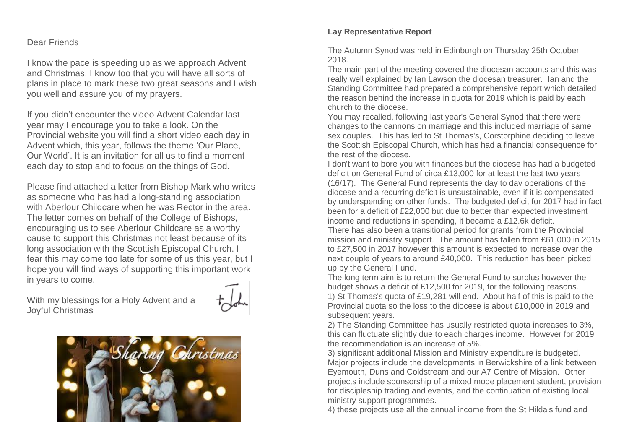### Dear Friends

I know the pace is speeding up as we approach Advent and Christmas. I know too that you will have all sorts of plans in place to mark these two great seasons and I wish you well and assure you of my prayers.

If you didn't encounter the video Advent Calendar last year may I encourage you to take a look. On the Provincial website you will find a short video each day in Advent which, this year, follows the theme 'Our Place, Our World'. It is an invitation for all us to find a moment each day to stop and to focus on the things of God.

Please find attached a letter from Bishop Mark who writes as someone who has had a long-standing association with Aberlour Childcare when he was Rector in the area. The letter comes on behalf of the College of Bishops, encouraging us to see Aberlour Childcare as a worthy cause to support this Christmas not least because of its long association with the Scottish Episcopal Church. I fear this may come too late for some of us this year, but I hope you will find ways of supporting this important work in years to come.

With my blessings for a Holy Advent and a Joyful Christmas





## **Lay Representative Report**

The Autumn Synod was held in Edinburgh on Thursday 25th October 2018.

The main part of the meeting covered the diocesan accounts and this was really well explained by Ian Lawson the diocesan treasurer. Ian and the Standing Committee had prepared a comprehensive report which detailed the reason behind the increase in quota for 2019 which is paid by each church to the diocese.

You may recalled, following last year's General Synod that there were changes to the cannons on marriage and this included marriage of same sex couples. This has led to St Thomas's, Corstorphine deciding to leave the Scottish Episcopal Church, which has had a financial consequence for the rest of the diocese.

I don't want to bore you with finances but the diocese has had a budgeted deficit on General Fund of circa £13,000 for at least the last two years (16/17). The General Fund represents the day to day operations of the diocese and a recurring deficit is unsustainable, even if it is compensated by underspending on other funds. The budgeted deficit for 2017 had in fact been for a deficit of £22,000 but due to better than expected investment income and reductions in spending, it became a £12.6k deficit. There has also been a transitional period for grants from the Provincial mission and ministry support. The amount has fallen from £61,000 in 2015 to £27,500 in 2017 however this amount is expected to increase over the next couple of years to around £40,000. This reduction has been picked up by the General Fund.

The long term aim is to return the General Fund to surplus however the budget shows a deficit of £12,500 for 2019, for the following reasons. 1) St Thomas's quota of £19,281 will end. About half of this is paid to the Provincial quota so the loss to the diocese is about £10,000 in 2019 and subsequent years.

2) The Standing Committee has usually restricted quota increases to 3%, this can fluctuate slightly due to each charges income. However for 2019 the recommendation is an increase of 5%.

3) significant additional Mission and Ministry expenditure is budgeted. Major projects include the developments in Berwickshire of a link between Eyemouth, Duns and Coldstream and our A7 Centre of Mission. Other projects include sponsorship of a mixed mode placement student, provision for discipleship trading and events, and the continuation of existing local ministry support programmes.

4) these projects use all the annual income from the St Hilda's fund and